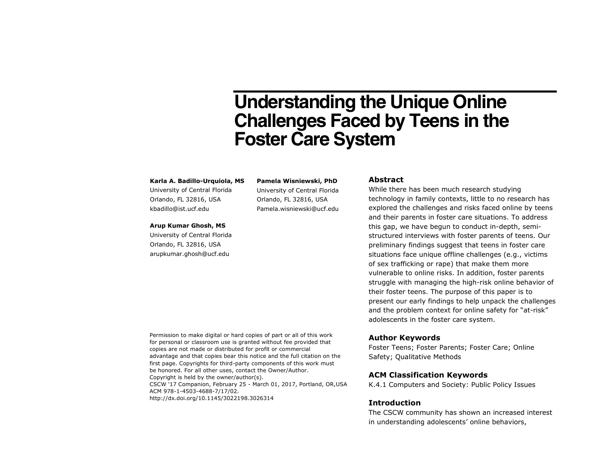# **Understanding the Unique Online Challenges Faced by Teens in the Foster Care System**

#### **Karla A. Badillo-Urquiola, MS**

University of Central Florida Orlando, FL 32816, USA kbadillo@ist.ucf.edu

#### **Arup Kumar Ghosh, MS**

University of Central Florida Orlando, FL 32816, USA arupkumar.ghosh@ucf.edu

**Pamela Wisniewski, PhD** University of Central Florida Orlando, FL 32816, USA Pamela.wisniewski@ucf.edu

#### **Abstract**

While there has been much research studying technology in family contexts, little to no research has explored the challenges and risks faced online by teens and their parents in foster care situations. To address this gap, we have begun to conduct in-depth, semistructured interviews with foster parents of teens. Our preliminary findings suggest that teens in foster care situations face unique offline challenges (e.g., victims of sex trafficking or rape) that make them more vulnerable to online risks. In addition, foster parents struggle with managing the high-risk online behavior of their foster teens. The purpose of this paper is to present our early findings to help unpack the challenges and the problem context for online safety for "at-risk" adolescents in the foster care system.

#### **Author Keywords**

Foster Teens; Foster Parents; Foster Care; Online Safety; Qualitative Methods

## **ACM Classification Keywords**

K.4.1 Computers and Society: Public Policy Issues

#### **Introduction**

The CSCW community has shown an increased interest in understanding adolescents' online behaviors,

Permission to make digital or hard copies of part or all of this work for personal or classroom use is granted without fee provided that copies are not made or distributed for profit or commercial advantage and that copies bear this notice and the full citation on the first page. Copyrights for third-party components of this work must be honored. For all other uses, contact the Owner/Author. Copyright is held by the owner/author(s). CSCW '17 Companion, February 25 - March 01, 2017, Portland, OR,USA ACM 978-1-4503-4688-7/17/02. http://dx.doi.org/10.1145/3022198.3026314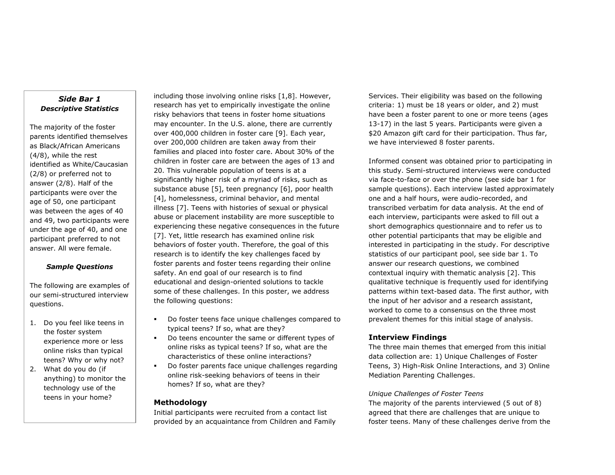## *Side Bar 1 Descriptive Statistics*

The majority of the foster parents identified themselves as Black/African Americans (4/8), while the rest identified as White/Caucasian (2/8) or preferred not to answer (2/8). Half of the participants were over the age of 50, one participant was between the ages of 40 and 49, two participants were under the age of 40, and one participant preferred to not answer. All were female.

## *Sample Questions*

The following are examples of our semi-structured interview questions.

- 1. Do you feel like teens in the foster system experience more or less online risks than typical teens? Why or why not?
- 2. What do you do (if anything) to monitor the technology use of the teens in your home?

including those involving online risks [1,8]. However, research has yet to empirically investigate the online risky behaviors that teens in foster home situations may encounter. In the U.S. alone, there are currently over 400,000 children in foster care [9]. Each year, over 200,000 children are taken away from their families and placed into foster care. About 30% of the children in foster care are between the ages of 13 and 20. This vulnerable population of teens is at a significantly higher risk of a myriad of risks, such as substance abuse [5], teen pregnancy [6], poor health [4], homelessness, criminal behavior, and mental illness [7]. Teens with histories of sexual or physical abuse or placement instability are more susceptible to experiencing these negative consequences in the future [7]. Yet, little research has examined online risk behaviors of foster youth. Therefore, the goal of this research is to identify the key challenges faced by foster parents and foster teens regarding their online safety. An end goal of our research is to find educational and design-oriented solutions to tackle some of these challenges. In this poster, we address the following questions:

- Do foster teens face unique challenges compared to typical teens? If so, what are they?
- Do teens encounter the same or different types of online risks as typical teens? If so, what are the characteristics of these online interactions?
- Do foster parents face unique challenges regarding online risk-seeking behaviors of teens in their homes? If so, what are they?

## **Methodology**

Initial participants were recruited from a contact list provided by an acquaintance from Children and Family Services. Their eligibility was based on the following criteria: 1) must be 18 years or older, and 2) must have been a foster parent to one or more teens (ages 13-17) in the last 5 years. Participants were given a \$20 Amazon gift card for their participation. Thus far, we have interviewed 8 foster parents.

Informed consent was obtained prior to participating in this study. Semi-structured interviews were conducted via face-to-face or over the phone (see side bar 1 for sample questions). Each interview lasted approximately one and a half hours, were audio-recorded, and transcribed verbatim for data analysis. At the end of each interview, participants were asked to fill out a short demographics questionnaire and to refer us to other potential participants that may be eligible and interested in participating in the study. For descriptive statistics of our participant pool, see side bar 1. To answer our research questions, we combined contextual inquiry with thematic analysis [2]. This qualitative technique is frequently used for identifying patterns within text-based data. The first author, with the input of her advisor and a research assistant, worked to come to a consensus on the three most prevalent themes for this initial stage of analysis.

## **Interview Findings**

The three main themes that emerged from this initial data collection are: 1) Unique Challenges of Foster Teens, 3) High-Risk Online Interactions, and 3) Online Mediation Parenting Challenges.

## *Unique Challenges of Foster Teens*

The majority of the parents interviewed (5 out of 8) agreed that there are challenges that are unique to foster teens. Many of these challenges derive from the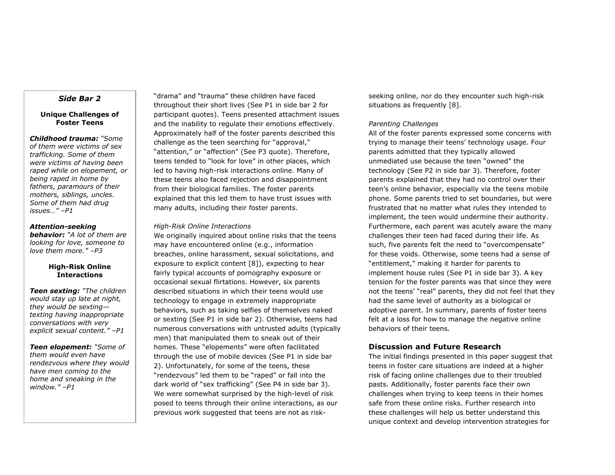#### *Side Bar 2*

#### **Unique Challenges of Foster Teens**

*Childhood trauma: "Some of them were victims of sex trafficking. Some of them were victims of having been raped while on elopement, or being raped in home by fathers, paramours of their mothers, siblings, uncles. Some of them had drug issues…" –P1*

#### *Attention-seeking*

*behavior: "A lot of them are looking for love, someone to love them more." –P3*

#### **High-Risk Online Interactions**

*Teen sexting: "The children would stay up late at night, they would be sexting texting having inappropriate conversations with very explicit sexual content." –P1*

*Teen elopement: "Some of them would even have rendezvous where they would have men coming to the home and sneaking in the window." –P1*

"drama" and "trauma" these children have faced throughout their short lives (See P1 in side bar 2 for participant quotes). Teens presented attachment issues and the inability to regulate their emotions effectively. Approximately half of the foster parents described this challenge as the teen searching for "approval," "attention," or "affection" (See P3 quote). Therefore, teens tended to "look for love" in other places, which led to having high-risk interactions online. Many of these teens also faced rejection and disappointment from their biological families. The foster parents explained that this led them to have trust issues with many adults, including their foster parents.

#### *High-Risk Online Interactions*

We originally inquired about online risks that the teens may have encountered online (e.g., information breaches, online harassment, sexual solicitations, and exposure to explicit content [8]), expecting to hear fairly typical accounts of pornography exposure or occasional sexual flirtations. However, six parents described situations in which their teens would use technology to engage in extremely inappropriate behaviors, such as taking selfies of themselves naked or sexting (See P1 in side bar 2). Otherwise, teens had numerous conversations with untrusted adults (typically men) that manipulated them to sneak out of their homes. These "elopements" were often facilitated through the use of mobile devices (See P1 in side bar 2). Unfortunately, for some of the teens, these "rendezvous" led them to be "raped" or fall into the dark world of "sex trafficking" (See P4 in side bar 3). We were somewhat surprised by the high-level of risk posed to teens through their online interactions, as our previous work suggested that teens are not as riskseeking online, nor do they encounter such high-risk situations as frequently [8].

#### *Parenting Challenges*

All of the foster parents expressed some concerns with trying to manage their teens' technology usage. Four parents admitted that they typically allowed unmediated use because the teen "owned" the technology (See P2 in side bar 3). Therefore, foster parents explained that they had no control over their teen's online behavior, especially via the teens mobile phone. Some parents tried to set boundaries, but were frustrated that no matter what rules they intended to implement, the teen would undermine their authority. Furthermore, each parent was acutely aware the many challenges their teen had faced during their life. As such, five parents felt the need to "overcompensate" for these voids. Otherwise, some teens had a sense of "entitlement," making it harder for parents to implement house rules (See P1 in side bar 3). A key tension for the foster parents was that since they were not the teens' "real" parents, they did not feel that they had the same level of authority as a biological or adoptive parent. In summary, parents of foster teens felt at a loss for how to manage the negative online behaviors of their teens.

## **Discussion and Future Research**

The initial findings presented in this paper suggest that teens in foster care situations are indeed at a higher risk of facing online challenges due to their troubled pasts. Additionally, foster parents face their own challenges when trying to keep teens in their homes safe from these online risks. Further research into these challenges will help us better understand this unique context and develop intervention strategies for